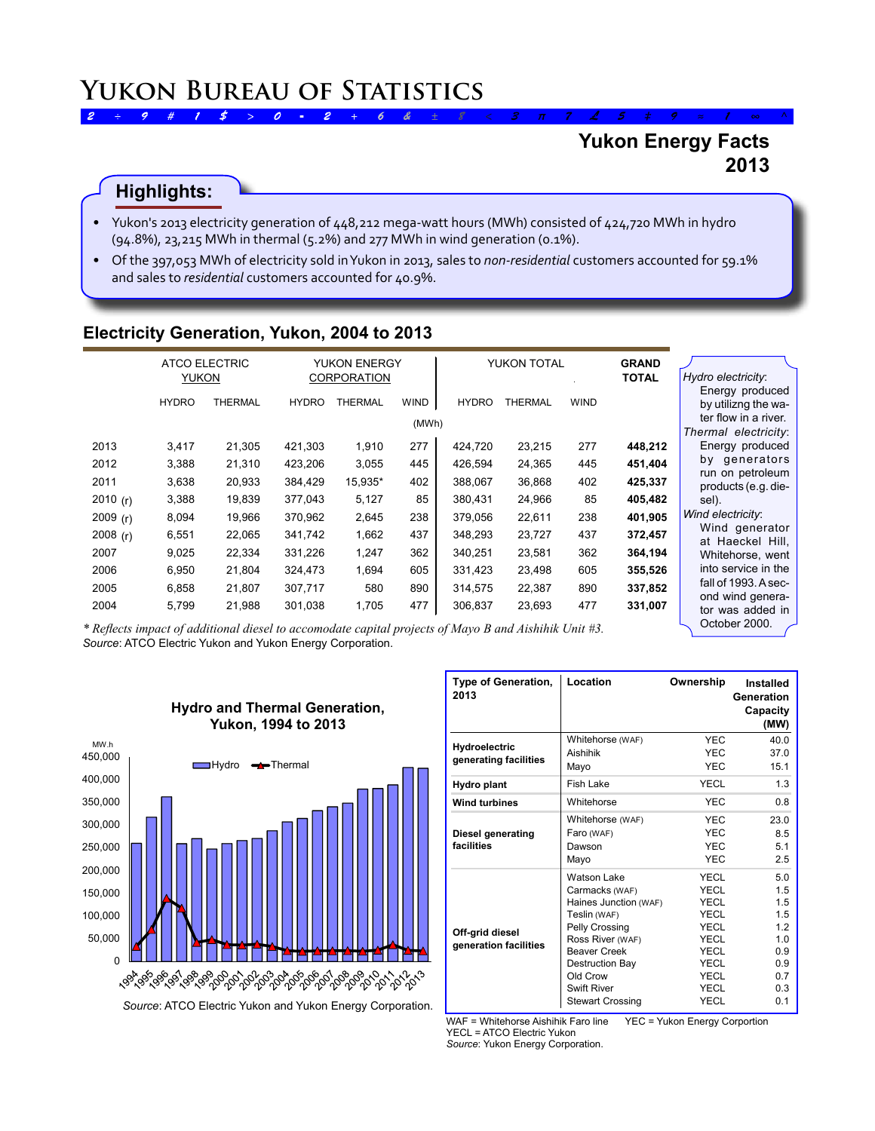# **Yukon Energy Facts 2013**

# **Highlights:**

- Yukon's 2013 electricity generation of 448,212 mega-watt hours (MWh) consisted of 424,720 MWh in hydro (94.8%), 23,215 MWh in thermal (5.2%) and 277 MWh in wind generation (0.1%).
- • Of the 397,053 MWh of electricity sold inYukon in 2013, sales to *non-residential* customers accounted for 59.1% and sales to *residential* customers accounted for 40.9%.

#### **Electricity Generation, Yukon, 2004 to 2013**

|            | <b>ATCO ELECTRIC</b><br><b>YUKON</b> |                                                    | <b>YUKON ENERGY</b><br><b>CORPORATION</b> |                | YUKON TOTAL          |              | <b>GRAND</b><br><b>TOTAL</b> | Hydro electricity: |         |                                                                                        |
|------------|--------------------------------------|----------------------------------------------------|-------------------------------------------|----------------|----------------------|--------------|------------------------------|--------------------|---------|----------------------------------------------------------------------------------------|
|            | <b>HYDRO</b>                         | <b>THERMAL</b>                                     | <b>HYDRO</b>                              | <b>THERMAL</b> | <b>WIND</b><br>(MWh) | <b>HYDRO</b> | <b>THERMAL</b>               | <b>WIND</b>        |         | Energy produced<br>by utilizng the wa-<br>ter flow in a river.<br>Thermal electricity: |
| 2013       | 3,417                                | 21,305                                             | 421,303                                   | 1.910          | 277                  | 424,720      | 23,215                       | 277                | 448,212 | Energy produced                                                                        |
| 2012       | 3,388                                | 21,310                                             | 423,206                                   | 3,055          | 445                  | 426,594      | 24,365                       | 445                | 451,404 | by generators                                                                          |
| 2011       | 3,638                                | 20,933                                             | 384,429                                   | 15,935*        | 402                  | 388,067      | 36,868                       | 402                | 425,337 | run on petroleum<br>products (e.g. die-                                                |
| 2010 $(r)$ | 3,388                                | 19,839                                             | 377,043                                   | 5,127          | 85                   | 380,431      | 24,966                       | 85                 | 405,482 | sel).                                                                                  |
| 2009(r)    | 8,094                                | 19,966                                             | 370,962                                   | 2,645          | 238                  | 379,056      | 22,611                       | 238                | 401,905 | Wind electricity:                                                                      |
| 2008 $(r)$ | 6,551                                | 22,065                                             | 341,742                                   | 1,662          | 437                  | 348,293      | 23,727                       | 437                | 372,457 | Wind generator                                                                         |
| 2007       | 9,025                                | 22,334                                             | 331,226                                   | 1,247          | 362                  | 340,251      | 23,581                       | 362                | 364,194 | at Haeckel Hill,<br>Whitehorse, went                                                   |
| 2006       | 6,950                                | 21,804                                             | 324,473                                   | 1,694          | 605                  | 331,423      | 23,498                       | 605                | 355,526 | into service in the                                                                    |
| 2005       | 6,858                                | 21,807                                             | 307,717                                   | 580            | 890                  | 314,575      | 22,387                       | 890                | 337,852 | fall of 1993. A sec-                                                                   |
| 2004       | 5,799                                | 21,988<br>kna e cite it is is either and iterative | 301,038                                   | 1,705          | 477                  | 306,837      | 23,693                       | 477                | 331,007 | ond wind genera-<br>tor was added in<br>October 2000.                                  |

*Source*: ATCO Electric Yukon and Yukon Energy Corporation. *\* Reflects impact of additional diesel to accomodate capital projects of Mayo B and Aishihik Unit #3.*



| <b>Type of Generation,</b><br>2013 | Location                | Ownership   | Installed<br>Generation<br>Capacity<br>(MW) |
|------------------------------------|-------------------------|-------------|---------------------------------------------|
| Hydroelectric                      | Whitehorse (WAF)        | <b>YEC</b>  | 40.0                                        |
| generating facilities              | Aishihik                | <b>YEC</b>  | 37.0                                        |
|                                    | Mayo                    | <b>YEC</b>  | 15.1                                        |
| Hydro plant                        | <b>Fish Lake</b>        | YECL        | 1.3                                         |
| <b>Wind turbines</b>               | Whitehorse              | <b>YEC</b>  | 0.8                                         |
|                                    | Whitehorse (WAF)        | <b>YEC</b>  | 23.0                                        |
| Diesel generating                  | Faro (WAF)              | <b>YEC</b>  | 8.5                                         |
| facilities                         | Dawson                  | <b>YEC</b>  | 5.1                                         |
|                                    | Mayo                    | <b>YEC</b>  | 2.5                                         |
|                                    | Watson Lake             | YECL        | 5.0                                         |
|                                    | Carmacks (WAF)          | YECL        | 1.5                                         |
|                                    | Haines Junction (WAF)   | YECL        | 1.5                                         |
|                                    | Teslin (WAF)            | YECL        | 1.5                                         |
| Off-grid diesel                    | Pelly Crossing          | YECL        | 1.2                                         |
| generation facilities              | Ross River (WAF)        | <b>YECL</b> | 1.0                                         |
|                                    | <b>Beaver Creek</b>     | YECL        | 0.9                                         |
|                                    | Destruction Bay         | YECL        | 0.9                                         |
|                                    | Old Crow                | <b>YECL</b> | 0.7                                         |
|                                    | <b>Swift River</b>      | YECL        | 0.3                                         |
|                                    | <b>Stewart Crossing</b> | <b>YECL</b> | 0.1                                         |

WAF = Whitehorse Aishihik Faro line YEC = Yukon Energy Corportion YECL = ATCO Electric Yukon *Source*: Yukon Energy Corporation.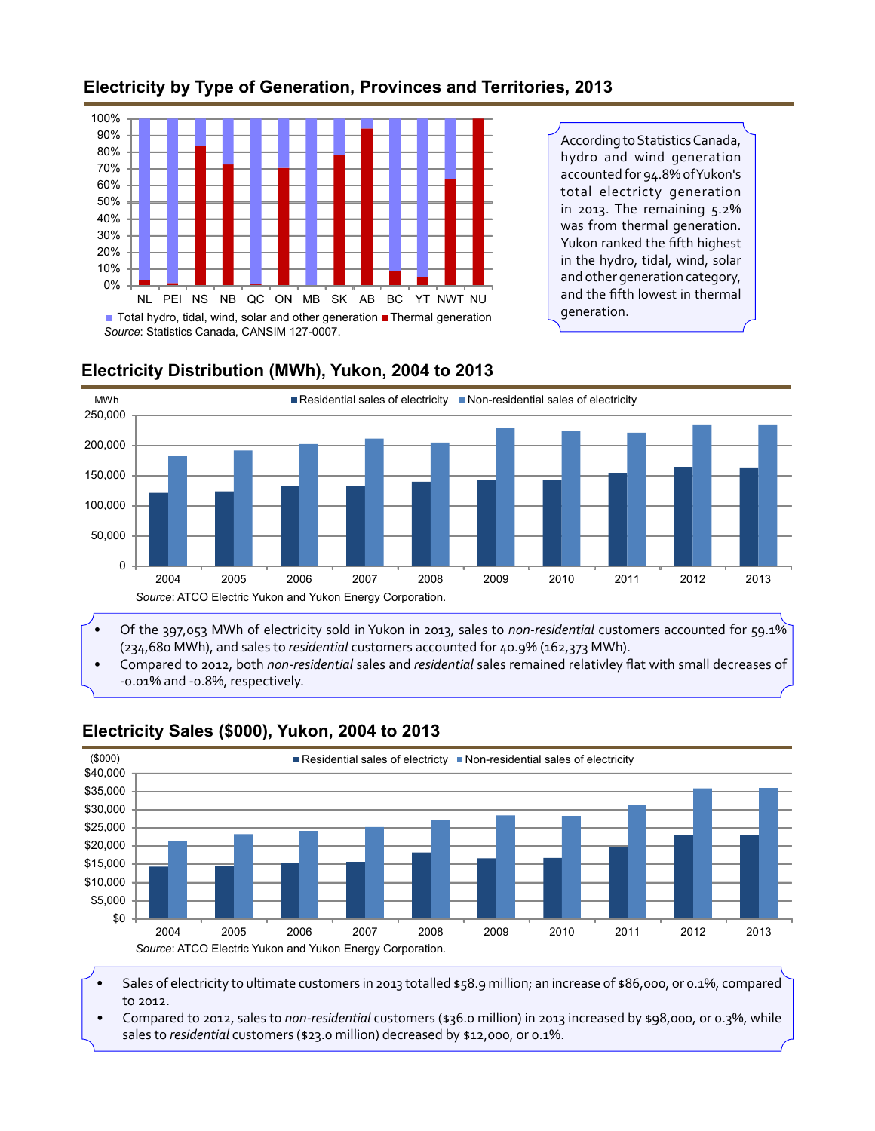## **Electricity by Type of Generation, Provinces and Territories, 2013**



According to Statistics Canada, hydro and wind generation accounted for 94.8% ofYukon's total electricty generation in 2013. The remaining 5.2% was from thermal generation. Yukon ranked the fifth highest in the hydro, tidal, wind, solar and other generation category, and the fifth lowest in thermal generation.



## **Electricity Distribution (MWh), Yukon, 2004 to 2013**

(234,680 MWh), and sales to *residential* customers accounted for 40.9% (162,373 MWh).

• Compared to 2012, both *non-residential* sales and *residential* sales remained relativley flat with small decreases of -0.01% and -0.8%, respectively.



## **Electricity Sales (\$000), Yukon, 2004 to 2013**

Sales of electricity to ultimate customers in 2013 totalled \$58.9 million; an increase of \$86,000, or 0.1%, compared to 2012.

• Compared to 2012, sales to *non-residential* customers (\$36.0 million) in 2013 increased by \$98,000, or 0.3%, while sales to *residential* customers (\$23.0 million) decreased by \$12,000, or 0.1%.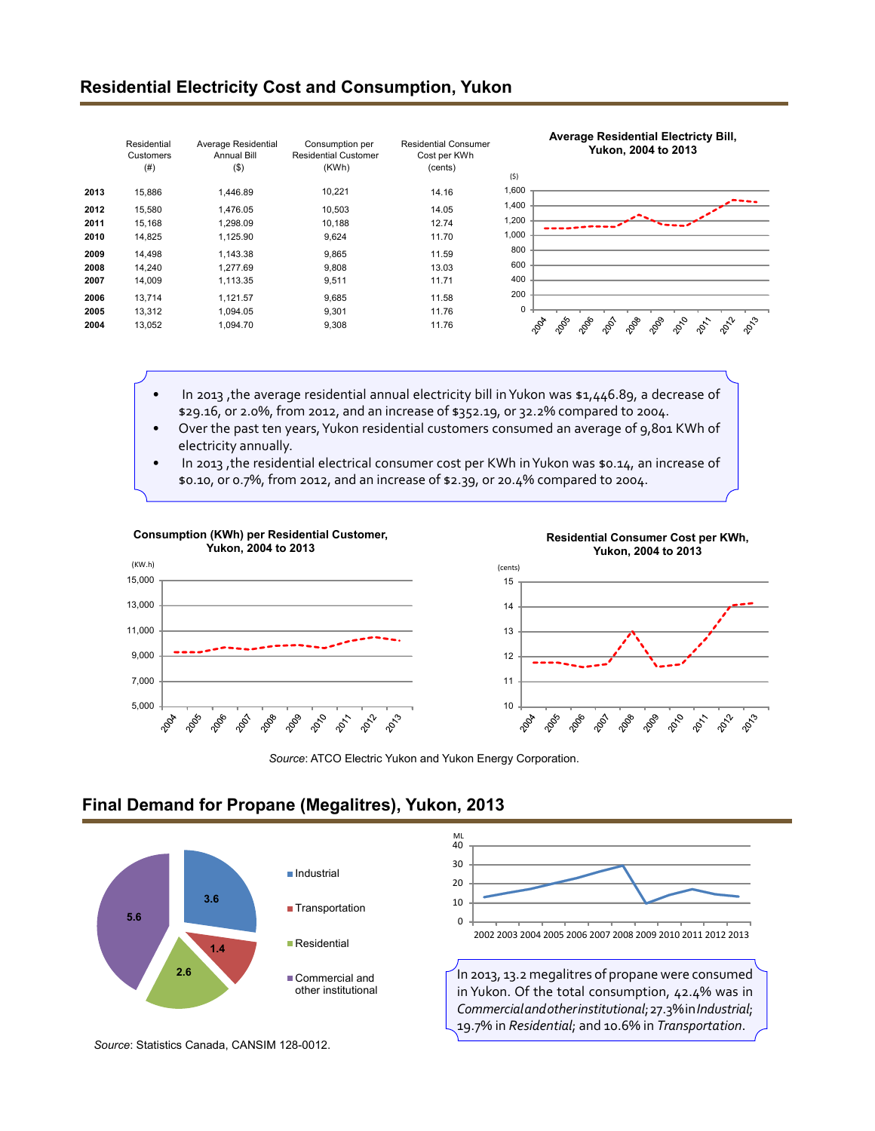#### **Residential Electricity Cost and Consumption, Yukon**

|      | Residential<br>Customers<br>(# ) | Average Residential<br>Annual Bill<br>$($ \$) | Consumption per<br><b>Residential Customer</b><br>(KWh) | <b>Residential Consumer</b><br>Cost per KWh<br>(cents) | <b>Average Residential Electricty Bill,</b><br>Yukon, 2004 to 2013<br>(5)                                     |
|------|----------------------------------|-----------------------------------------------|---------------------------------------------------------|--------------------------------------------------------|---------------------------------------------------------------------------------------------------------------|
| 2013 | 15,886                           | 1,446.89                                      | 10,221                                                  | 14.16                                                  | 1,600                                                                                                         |
| 2012 | 15,580                           | 1.476.05                                      | 10,503                                                  | 14.05                                                  | 1,400                                                                                                         |
| 2011 | 15,168                           | 1,298.09                                      | 10,188                                                  | 12.74                                                  | 1,200                                                                                                         |
| 2010 | 14,825                           | 1,125.90                                      | 9,624                                                   | 11.70                                                  | 1,000                                                                                                         |
| 2009 | 14.498                           | 1.143.38                                      | 9,865                                                   | 11.59                                                  | 800                                                                                                           |
| 2008 | 14,240                           | 1.277.69                                      | 9,808                                                   | 13.03                                                  | 600                                                                                                           |
| 2007 | 14,009                           | 1,113.35                                      | 9,511                                                   | 11.71                                                  | 400                                                                                                           |
| 2006 | 13,714                           | 1.121.57                                      | 9,685                                                   | 11.58                                                  | 200                                                                                                           |
| 2005 | 13,312                           | 1.094.05                                      | 9,301                                                   | 11.76                                                  | 0                                                                                                             |
| 2004 | 13,052                           | 1.094.70                                      | 9,308                                                   | 11.76                                                  | 2088<br>2009<br>$\phi_o^{\circ}$<br>$\varphi_{\zeta_3}$<br>2006<br>$\phi^2$<br>2004<br>201<br>2009<br>$\phi'$ |

- In 2013, the average residential annual electricity bill in Yukon was \$1,446.89, a decrease of \$29.16, or 2.0%, from 2012, and an increase of \$352.19, or 32.2% compared to 2004.
- Over the past ten years, Yukon residential customers consumed an average of 9,801 KWh of electricity annually.
- In 2013, the residential electrical consumer cost per KWh in Yukon was \$0.14, an increase of \$0.10, or 0.7%, from 2012, and an increase of \$2.39, or 20.4% compared to 2004.



*Source*: ATCO Electric Yukon and Yukon Energy Corporation.

### **Final Demand for Propane (Megalitres), Yukon, 2013**



*Source*: Statistics Canada, CANSIM 128-0012.